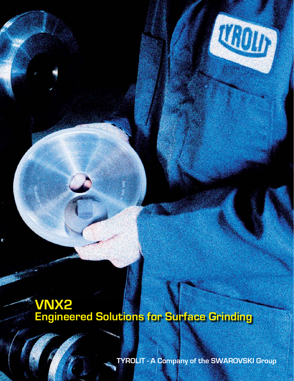# 

## **VNX2 Engineered Solutions for Surface Grinding**

**TYROLIT - A Company of the SWAROVSKI Group**